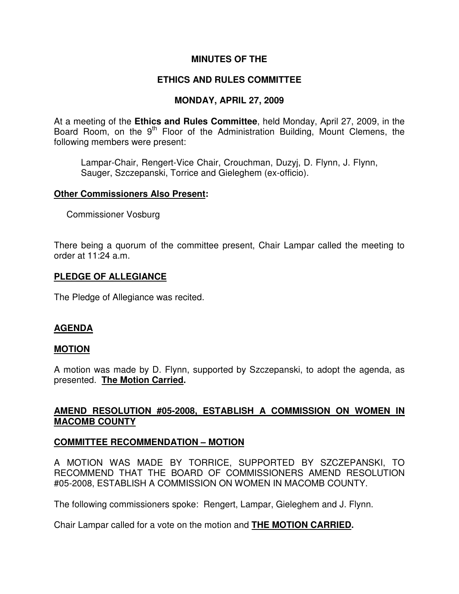## **MINUTES OF THE**

# **ETHICS AND RULES COMMITTEE**

# **MONDAY, APRIL 27, 2009**

At a meeting of the **Ethics and Rules Committee**, held Monday, April 27, 2009, in the Board Room, on the 9<sup>th</sup> Floor of the Administration Building, Mount Clemens, the following members were present:

Lampar-Chair, Rengert-Vice Chair, Crouchman, Duzyj, D. Flynn, J. Flynn, Sauger, Szczepanski, Torrice and Gieleghem (ex-officio).

### **Other Commissioners Also Present:**

Commissioner Vosburg

There being a quorum of the committee present, Chair Lampar called the meeting to order at 11:24 a.m.

### **PLEDGE OF ALLEGIANCE**

The Pledge of Allegiance was recited.

## **AGENDA**

#### **MOTION**

A motion was made by D. Flynn, supported by Szczepanski, to adopt the agenda, as presented. **The Motion Carried.** 

## **AMEND RESOLUTION #05-2008, ESTABLISH A COMMISSION ON WOMEN IN MACOMB COUNTY**

## **COMMITTEE RECOMMENDATION – MOTION**

A MOTION WAS MADE BY TORRICE, SUPPORTED BY SZCZEPANSKI, TO RECOMMEND THAT THE BOARD OF COMMISSIONERS AMEND RESOLUTION #05-2008, ESTABLISH A COMMISSION ON WOMEN IN MACOMB COUNTY.

The following commissioners spoke: Rengert, Lampar, Gieleghem and J. Flynn.

Chair Lampar called for a vote on the motion and **THE MOTION CARRIED.**